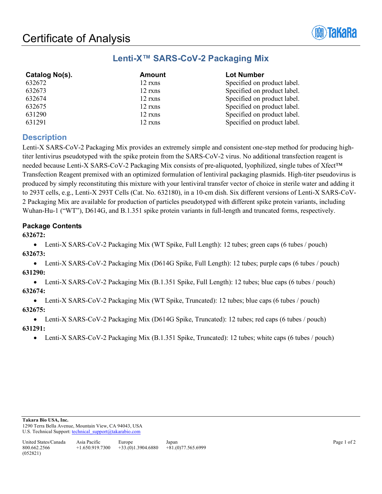

# **Lenti-X™ SARS-CoV-2 Packaging Mix**

| <b>Amount</b> | <b>Lot Number</b>           |  |
|---------------|-----------------------------|--|
| 12 rxns       | Specified on product label. |  |
| 12 rxns       | Specified on product label. |  |
| 12 rxns       | Specified on product label. |  |
| 12 rxns       | Specified on product label. |  |
| 12 rxns       | Specified on product label. |  |
| 12 rxns       | Specified on product label. |  |
|               |                             |  |

# **Description**

Lenti-X SARS-CoV-2 Packaging Mix provides an extremely simple and consistent one-step method for producing hightiter lentivirus pseudotyped with the spike protein from the SARS-CoV-2 virus. No additional transfection reagent is needed because Lenti-X SARS-CoV-2 Packaging Mix consists of pre-aliquoted, lyophilized, single tubes of Xfect™ Transfection Reagent premixed with an optimized formulation of lentiviral packaging plasmids. High-titer pseudovirus is produced by simply reconstituting this mixture with your lentiviral transfer vector of choice in sterile water and adding it to 293T cells, e.g., Lenti-X 293T Cells (Cat. No. 632180), in a 10-cm dish. Six different versions of Lenti-X SARS-CoV-2 Packaging Mix are available for production of particles pseudotyped with different spike protein variants, including Wuhan-Hu-1 ("WT"), D614G, and B.1.351 spike protein variants in full-length and truncated forms, respectively.

# **Package Contents**

#### **632672:**

• Lenti-X SARS-CoV-2 Packaging Mix (WT Spike, Full Length): 12 tubes; green caps (6 tubes / pouch) **632673:** 

• Lenti-X SARS-CoV-2 Packaging Mix (D614G Spike, Full Length): 12 tubes; purple caps (6 tubes / pouch) **631290:** 

• Lenti-X SARS-CoV-2 Packaging Mix (B.1.351 Spike, Full Length): 12 tubes; blue caps (6 tubes / pouch) **632674:** 

• Lenti-X SARS-CoV-2 Packaging Mix (WT Spike, Truncated): 12 tubes; blue caps (6 tubes / pouch) **632675:** 

• Lenti-X SARS-CoV-2 Packaging Mix (D614G Spike, Truncated): 12 tubes; red caps (6 tubes / pouch) **631291:** 

• Lenti-X SARS-CoV-2 Packaging Mix (B.1.351 Spike, Truncated): 12 tubes; white caps (6 tubes / pouch)

**Takara Bio USA, Inc.** 

1290 Terra Bella Avenue, Mountain View, CA 94043, USA U.S. Technical Support: technical\_support@takarabio.com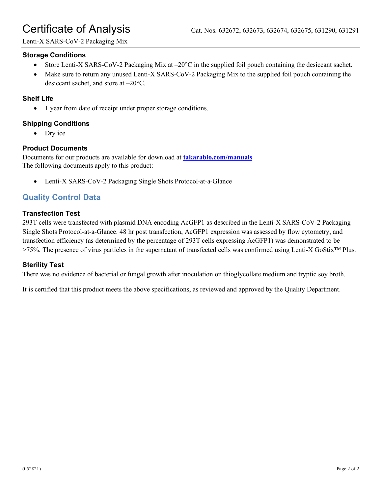# Certificate of Analysis Cat. Nos. 632672, 632673, 632674, 632675, 631290, 631291

Lenti-X SARS-CoV-2 Packaging Mix

## **Storage Conditions**

- Store Lenti-X SARS-CoV-2 Packaging Mix at  $-20^{\circ}$ C in the supplied foil pouch containing the desiceant sachet.
- Make sure to return any unused Lenti-X SARS-CoV-2 Packaging Mix to the supplied foil pouch containing the desiccant sachet, and store at –20°C.

#### **Shelf Life**

• 1 year from date of receipt under proper storage conditions.

## **Shipping Conditions**

Dry ice

## **Product Documents**

Documents for our products are available for download at **[takarabio.com/manuals](http://www.takarabio.com/manuals)** The following documents apply to this product:

• Lenti-X SARS-CoV-2 Packaging Single Shots Protocol-at-a-Glance

# **Quality Control Data**

#### **Transfection Test**

293T cells were transfected with plasmid DNA encoding AcGFP1 as described in the Lenti-X SARS-CoV-2 Packaging Single Shots Protocol-at-a-Glance. 48 hr post transfection, AcGFP1 expression was assessed by flow cytometry, and transfection efficiency (as determined by the percentage of 293T cells expressing AcGFP1) was demonstrated to be >75%. The presence of virus particles in the supernatant of transfected cells was confirmed using Lenti-X GoStix™ Plus.

## **Sterility Test**

There was no evidence of bacterial or fungal growth after inoculation on thioglycollate medium and tryptic soy broth.

It is certified that this product meets the above specifications, as reviewed and approved by the Quality Department.